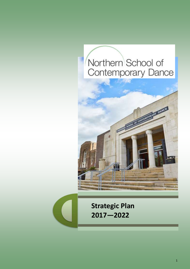# Northern School of Contemporary Dance





**Strategic Plan 2017—2022**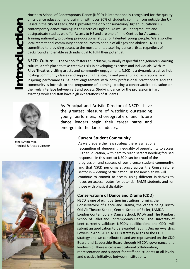Northern School of Contemporary Dance (NSCD) is internationally recognised for the quality of its dance education and training, with over 30% of students coming from outside the UK. Based in the city of Leeds, NSCD provides the only conservatoire/Higher Education(HE) contemporary dance training in the North of England. As well as undergraduate and postgraduate studies we offer Access to HE and are one of nine Centres for Advanced Training nationally, providing pre-vocational study for talented young people. We also offer local recreational community dance courses to people of all ages and abilities. NSCD is committed to providing access to the most talented aspiring dance artists, regardless of background and enable each individual to fulfil their potential.

**NSCD Culture:** The School fosters an inclusive, mutually respectful and generous learning culture; a safe place to take creative risks in developing as artists and individuals. With its **Riley Theatre**, visiting artists and community engagement, NSCD is a dynamic creative hub hosting community classes and supporting the staging and presenting of aspirational and inspiring performances. Student engagement with both professional practitioners and the community is intrinsic to the programme of learning, placing a conservatoire education on the lively interface between art and society. Studying dance for the profession is hard, exacting work and staff have high expectations of students.



Janet Smith MBE Principal & Artistic Director



As Principal and Artistic Director of NSCD I have the greatest pleasure of watching outstanding young performers, choreographers and future dance leaders begin their career paths and emerge into the dance industry.

#### **Current Student Community**

As we prepare the new strategy there is a national recognition of deepening inequality of opportunity to access Higher Education, with hard to reach sectors needing focused response. In this context NSCD can be proud of the progression and success of our diverse student community, and that NSCD performs strongly across the Conservatoire sector in widening participation. In the new plan we will continue to commit to access, using different initiatives to focus on access routes for potential BAME students and for those with physical disability.

#### **Conservatoire of Dance and Drama (CDD)**

NSCD is one of eight partner institutions forming the Conservatoire of Dance and Drama, the others being Bristol Old Vic Theatre School, Central School of Ballet, LAMDA, London Contemporary Dance School, RADA and The Rambert School of Ballet and Contemporary Dance. The University of Kent currently validates NSCD's qualifications and CDD will submit an application to be awarded Taught Degree Awarding Powers in April 2017. NSCD's strategy aligns to the CDD strategy and we contribute to and are represented on the CDD Board and Leadership Board through NSCD's governance and leadership. There is cross institutional collaboration, representation and support for staff and students at all levels, and creative initiatives between institutions.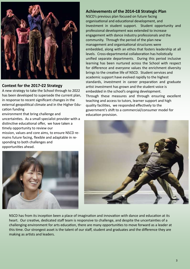

#### **Context for the 2017-22 Strategy**

A new strategy to take the School through to 2022 has been developed to supersede the current plan, in response to recent significant changes in the external geopolitical climate and in the Higher Education funding

environment that bring challenge and uncertainties. As a small specialist provider with a distinctive educational offer, we have taken a timely opportunity to review our

mission, values and core aims, to ensure NSCD remains future facing, flexible and adaptable in responding to both challenges and opportunities ahead.



#### **Achievements of the 2014-18 Strategic Plan**

NSCD's previous plan focused on future facing organisational and educational development, and Investment in student support. Student opportunity and professional development was extended to increase engagement with dance industry professionals and the community. Through the period of the plan new management and organisational structures were embedded, along with an ethos that fosters leadership at all levels. Cross-departmental collaboration has holistically unified separate departments. During this period inclusive learning has been nurtured across the School with respect for difference and everyone values the enrichment diversity brings to the creative life of NSCD. Student services and academic support have evolved rapidly to the highest standards, investment in career preparation and graduate artist investment has grown and the student voice is embedded in the school's ongoing development. Through these measures and through ensuring excellent teaching and access to tutors, learner support and high quality facilities, we responded effectively to the government's shift to a commercial/consumer model for education provision.



NSCD has from its inception been a place of imagination and innovation with dance and education at its heart. Our creative, dedicated staff team is responsive to challenge, and despite the uncertainties of a challenging environment for arts education, there are many opportunities to move forward as a leader at this time. Our strongest asset is the talent of our staff, student and graduates and the difference they are making as artists and leaders.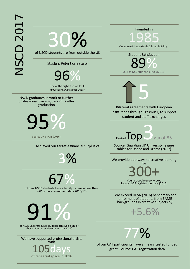30%

of NSCD students are from outside the UK

Student Retention rate of

96%

One of the highest in a UK HEI

NSCD graduates in work or further professional training 6 months after graduation



Achieved our target a financial surplus of

3%

# 67%

of new NSCD students have a family income of less than 42K (source: enrolment data 2016/17)



of NSCD undergraduate students achieved a 2:1 or above (Source: achievement data 2016)

We have supported professional artists with 105days

of rehearsal space in 2016

#### Founded in

1985 On a site with two Grade 2 listed buildings

Student Satisfaction Source NSS student survey(2016) 89%



Bilateral agreements with European Institutions through Erasmus+, to support student and staff exchanges

Source UNISTATS (2016)<br>Ranked **Top**3out of 85

Source: Guardian UK University league tables for Dance and Drama (2017)

We provide pathways to creative learning for

300+

Source: L&P registration data (2016)

We exceed HESA (2016) benchmark for enrolment of students from BAME<br>backgrounds in creative subjects by:





of our CAT participants have a means tested funded grant. Source: CAT registration data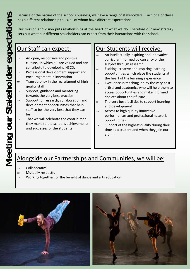Because of the nature of the school's business, we have a range of stakeholders. Each one of these has a different relationship to us, all of whom have different expectations.

Our mission and vision puts relationships at the heart of what we do. Therefore our new strategy sets out what our different stakeholders can expect from their interactions with the school.

## Our Staff can expect:

- $\Rightarrow$  An open, responsive and positive culture, in which all are valued and can contribute to developing NSCD.
- $\Rightarrow$  Professional development support and encouragement in innovation
- $\Rightarrow$  Transparency in the recruitment of high quality staff
- $\Rightarrow$  Support, guidance and mentoring towards the very best practice
- $\Rightarrow$  Support for research, collaboration and development opportunities that help staff to be the very best that they can be
- $\Rightarrow$  That we will celebrate the contribution they make to the school's achievements and successes of the students

## Our Students will receive:

- An intellectually inspiring and Innovative curricular informed by currency of the subject through research
- $\Rightarrow$  Exciting, creative and inspiring learning opportunities which place the students at the heart of the learning experience
- Excellence in teaching led by the very best artists and academics who will help them to access opportunities and make informed choices about their future
- The very best facilities to support learning and development
- Access to high quality innovative performances and professional network opportunities
- Support of the highest quality during their time as a student and when they join our alumni

## Alongside our Partnerships and Communities, we will be:

- $\Rightarrow$  Collaborative
- $\Rightarrow$  Mutually respectful
- $\Rightarrow$  Working together for the benefit of dance and arts education



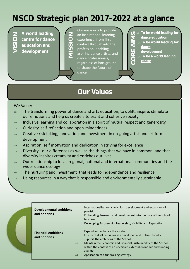## **NSCD Strategic plan 2017-2022 at a glance**

**VISION**

**A world leading centre for dance education and development**

| $\overline{a}$ |
|----------------|
| $\overline{e}$ |
| $\overline{C}$ |
| p              |
| a <sub>i</sub> |
| $\overline{d}$ |
| r <sub>6</sub> |
| t              |
| d              |

ur mission is to provide n inspirational learning xperience, from first ontact through into the rofession, enabling spiring dance artists, and ance professionals. egardless of background, shape the future of ance.

- **dance education**
- CORE⊃ To be world leading for<br>
<u>CORE alance education</u><br>
<u>CORE</u><br>
<u>CORE dance</u><br>
<u>CORE development</u><br>
<u>CORE centre</u><br>
CORE<br>
CORE<br>
CORE<br>
CORE<br>
COREC<br>
COREC<br>
COREC<br>
COREC<br>
COREC<br>
COREC<br>
COREC<br>
COREC<br>
COREC<br>
COREC<br>
COREC<br>
COREC<br> **To be world leading for**
- **dance** 
	- **development**
	- **To be a world leading**
	- **centre**

## **Our Values**

#### We Value:

- $\Rightarrow$  The transforming power of dance and arts education, to uplift, inspire, stimulate our emotions and help us create a tolerant and cohesive society
- $\Rightarrow$  Inclusive learning and collaboration in a spirit of mutual respect and generosity.
- $\Rightarrow$  Curiosity, self-reflection and open-mindedness
- $\Rightarrow$  Creative risk taking, innovation and investment in on-going artist and art form development
- $\Rightarrow$  Aspiration, self motivation and dedication in striving for excellence
- $\Rightarrow$  Diversity our differences as well as the things that we have in common, and that diversity inspires creativity and enriches our lives
- $\Rightarrow$  Our relationship to local, regional, national and international communities and the wider dance ecology
- $\Rightarrow$  The nurturing and investment that leads to independence and resilience
- $\Rightarrow$  Using resources in a way that is responsible and environmentally sustainable

|  | <b>Developmental ambitions</b><br>and priorities | $\Rightarrow$<br>$\Rightarrow$<br>$\Rightarrow$                  | Internationalisation, curriculum development and expansion of<br>provision<br>Embedding Research and development into the core of the school<br>business<br>Developing Partnership, Leadership, Visibility and Reputation                                                                                                         |
|--|--------------------------------------------------|------------------------------------------------------------------|-----------------------------------------------------------------------------------------------------------------------------------------------------------------------------------------------------------------------------------------------------------------------------------------------------------------------------------|
|  | <b>Financial Ambitions</b><br>and priorities     | $\Rightarrow$<br>$\Rightarrow$<br>$\Rightarrow$<br>$\Rightarrow$ | Expand and enhance the estate<br>Ensure that all resources are developed and utilised to fully<br>support the ambitions of the School<br>Maintain the Economic and Financial Sustainability of the School<br>within the context of an uncertain external economic and funding<br>climate<br>Application of a fundraising strategy |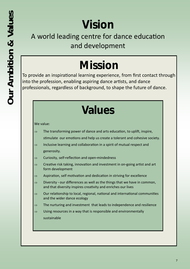# **Vision**

## A world leading centre for dance education and development

# **Mission**

To provide an inspirational learning experience, from first contact through into the profession, enabling aspiring dance artists, and dance professionals, regardless of background, to shape the future of dance.

# **Values**

#### We value:

- $\Rightarrow$  The transforming power of dance and arts education, to uplift, inspire, stimulate our emotions and help us create a tolerant and cohesive society.
- $\Rightarrow$  Inclusive learning and collaboration in a spirit of mutual respect and generosity.
- $\Rightarrow$  Curiosity, self-reflection and open-mindedness
- $\Rightarrow$  Creative risk taking, innovation and investment in on-going artist and art form development
- $\Rightarrow$  Aspiration, self motivation and dedication in striving for excellence
- $\Rightarrow$  Diversity our differences as well as the things that we have in common, and that diversity inspires creativity and enriches our lives
- $\Rightarrow$  Our relationship to local, regional, national and international communities and the wider dance ecology
- $\Rightarrow$  The nurturing and investment that leads to independence and resilience
- $\Rightarrow$  Using resources in a way that is responsible and environmentally sustainable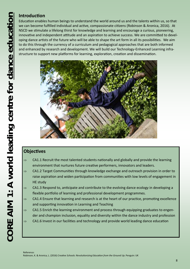## **Introduction**

Education enables human beings to understand the world around us and the talents within us, so that we can become fulfilled individual and active, compassionate citizens (Robinson & Aronica, 2016). At NSCD we stimulate a lifelong thirst for knowledge and learning and encourage a curious, pioneering, innovative and independent attitude and an aspiration to achieve success. We are committed to developing dance artists of the future who will be able to shape the art form in all its possibilities. We aim to do this through the currency of a curriculum and pedagogical approaches that are both informed and enhanced by research and development. We will build our Technology-Enhanced Learning infrastructure to support new platforms for learning, exploration, creation and dissemination.



## **Objectives**

- CA1.1 Recruit the most talented students nationally and globally and provide the learning environment that nurtures future creative performers, innovators and leaders.
- CA1.2 Target Communities through knowledge exchange and outreach provision in order to raise aspiration and widen participation from communities with low levels of engagement in HE study
- $\Rightarrow$  CA1.3 Respond to, anticipate and contribute to the evolving dance ecology in developing a flexible portfolio of learning and professional development programmes.
- $\Rightarrow$  CA1.4 Ensure that learning and research is at the heart of our practice, promoting excellence and supporting innovation in Learning and Teaching
- $\Rightarrow$  CA1.5 Enrich the learning environment and process through equipping graduates to engender and champion inclusion, equality and diversity within the dance industry and profession
- $\Rightarrow$  CA1.6 Invest in our facilities and technology and provide world leading dance education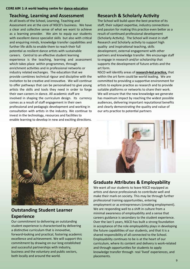### **Teaching, Learning and Assessment**

At all levels of the School, Learning, Teaching and Assessment are at the core of NSCD's business. We have a clear and collective sense of what we want to achieve as a learning provider. We aim to equip our students with excellent dance specialist skills but also with critical and enquiring minds, knowledge transfer capabilities and further life skills to enable them to reach their full potential as resilient dance artists with sustainable careers. Central to an effective student learning experience is the teaching, learning and assessment which takes place within programmes, through enrichment activities and in professional networks or industry related exchanges. The education that we provide combines technical rigour and discipline with the invitation to be creative and innovative. We will continue to offer pathways that can be personalised to give young artists the skills and tools they need in order to forge their own careers in dance. All academic staff are involved in shaping the curriculum design. Its currency comes as a result of staff engagement in their own professional and pedagogic development and working in consultation with artists in the industry. We continue to invest in the technology, resources and facilities to enable learning to develop in new and exciting directions.

## **Research & Scholarly Activity**

The School will build upon the best practice of its staff, their subject expertise, industry connections and passion for making this practice even better as a result of continued professional development (Scholarly Activity). The School will invest in staff Research and Scholarly activity to support high quality and inspirational teaching, skills development, external engagement with other partners and knowledge transfer. We encourage staff to engage in research and/or scholarship that supports the development of future artists and the art form.

NSCD will identify areas of **research-led practice,** that within the art form could be world leading. We are committed to providing a supportive environment for artists to explore practice as research and to provide suitable platforms or networks to share their work. We will ensure that the new knowledge we generate has maximum impact by reaching the widest possible audiences, delivering important reputational benefits and clearly demonstrating the quality and value of our arts practice to potential partners



## **Outstanding Student Learner Experience**

Our commitment to delivering an outstanding student experience is characterised by delivering a distinctive curriculum that is innovative, forward-looking and practical, fostering academic excellence and achievement. We will support this commitment by drawing on our long established and successful partnerships with industry, business and the voluntary and public sectors, both locally and around the world.



## **Graduate Attributes & Employability**

We want all our students to leave NSCD equipped as artists and dance professionals to contribute well and make their mark on society. This may be through further professional training opportunities, entering employment or as entrepreneurs (creating employment). We are responding well to a shift in culture from a minimal awareness of employability and a sense that careers guidance is secondary to the student experience. Over the last 5 years, NSCD has built a strong foundation in acceptance of the role employability plays in developing the future capabilities of our students, and that it is a shared responsibility of all connected to the School. Employability continues to be is at the heart of our curriculum, where its content and delivery is work-related and through opportunities for students to apply knowledge transfer through real 'lived' experiences, and placements.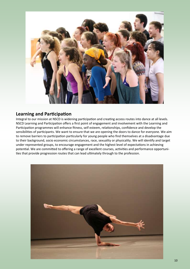

## **Learning and Participation**

Integral to our mission at NSCD is widening participation and creating access routes into dance at all levels. NSCD Learning and Participation offers a first point of engagement and involvement with the Learning and Participation programmes will enhance fitness, self esteem, relationships, confidence and develop the sensibilities of participants. We want to ensure that we are opening the doors to dance for everyone. We aim to remove barriers to participation particularly for young people who find themselves at a disadvantage due to their background, socio economic circumstances, race, sexuality or physicality. We will identify and target under represented groups, to encourage engagement and the highest level of expectations in achieving potential. We are committed to offering a range of excellent courses, activities and performance opportunities that provide progression routes that can lead ultimately through to the profession.

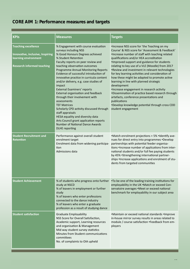## **CORE AIM 1: Performance measures and targets**

| <b>KPIs</b>                                                                                                                 | <b>Measures</b>                                                                                                                                                                                                                                                                                                                                                                                                                                                                                                                                                                                                                                                                                                                                           | <b>Targets</b>                                                                                                                                                                                                                                                                                                                                                                                                                                                                                                                                                                                                                                                                                                                                        |
|-----------------------------------------------------------------------------------------------------------------------------|-----------------------------------------------------------------------------------------------------------------------------------------------------------------------------------------------------------------------------------------------------------------------------------------------------------------------------------------------------------------------------------------------------------------------------------------------------------------------------------------------------------------------------------------------------------------------------------------------------------------------------------------------------------------------------------------------------------------------------------------------------------|-------------------------------------------------------------------------------------------------------------------------------------------------------------------------------------------------------------------------------------------------------------------------------------------------------------------------------------------------------------------------------------------------------------------------------------------------------------------------------------------------------------------------------------------------------------------------------------------------------------------------------------------------------------------------------------------------------------------------------------------------------|
| <b>Teaching excellence</b><br>Innovative, inclusive, Inspiring<br>learning environment<br><b>Research informed teaching</b> | % Engagement with course evaluation<br>surveys including NSS<br>% Good Honours Degrees achieved<br>% Student Retention<br>Faculty reports on peer review and<br>teaching observation outcomes<br><b>Programme Annual Monitoring Reports</b><br>Evidence of successful introduction of<br>innovative practice in curricula content<br>and/or delivery, e.g. case studies of<br>impact<br><b>External Examiners' reports</b><br>External organisation and feedback<br>through their involvement with<br>assessments<br><b>TEF Matrices</b><br>Scholarly CPD activity discussed through<br>staff appraisals<br>HESA equality and diversity data<br>Arts Council grant application reports<br><b>Number of National Dance Awards</b><br><b>DLHE</b> reporting | .Increase NSS score for 'the Teaching on my<br>Course' & NSS score for 'Assessment & Feedback'<br>.Increase number of staff with teaching related<br>qualifications and/or HEA accreditation<br>. Improved support and guidance for students<br>relating to key use of a VLE (Moodle) from 2017<br>.Review and investment in relevant technologies<br>for key learning activities and consideration of<br>how these might be adapted to promote active<br>learning in line with planned strategic<br>development<br>·Increase engagement in research activity<br>•Dissemination of practice based research through<br>artefacts, conference presentations and<br>publications<br>*Develop knowledge potential through cross CDD<br>student engagement |
| <b>Student Recruitment and</b><br><b>Retention</b>                                                                          | Performance against overall student<br>enrolment target<br>Enrolment data from widening participa-<br>tion<br>Admissions data                                                                                                                                                                                                                                                                                                                                                                                                                                                                                                                                                                                                                             | •Match enrolment projections + 5% •Identify ave-<br>nues for direct entry into programmes .Develop<br>partnerships with potential feeder organisa-<br>tions •Increase number of applications from inter-<br>national students and/or full fee paying students<br>by 45% •Strengthening international partner-<br>ships . Increase applications and enrolment of stu-<br>dents from targeted communities                                                                                                                                                                                                                                                                                                                                               |
| <b>Student Achievement</b>                                                                                                  | % of students who progress onto further<br>study at NSCD<br>% of leavers in employment or further<br>study<br>% of leavers who enter professions<br>connected to the dance industry<br>% of leavers who enter a graduate<br>profession as a result of studying dance                                                                                                                                                                                                                                                                                                                                                                                                                                                                                      | .To be one of the leading training institutions for<br>employability in the UK .Match or exceed Con-<br>servatoire averages .Meet or exceed national<br>benchmark for employability in our subject area                                                                                                                                                                                                                                                                                                                                                                                                                                                                                                                                               |
| <b>Student satisfaction</b>                                                                                                 | <b>Graduate Employability</b><br>NSS Score for Overall Satisfaction,<br>Academic support, Learning resources<br>and organisation & Management<br>Mid way student survey statistics<br>Minutes from Student communications<br>committees<br>No. of complaints to OIA upheld                                                                                                                                                                                                                                                                                                                                                                                                                                                                                | .Maintain or exceed national standards .Improve<br>in-house mirror survey results in areas related to<br>module / course satisfaction .Feedback from em-<br>ployers                                                                                                                                                                                                                                                                                                                                                                                                                                                                                                                                                                                   |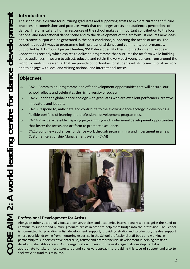## **Introduction**

The school has a culture for nurturing graduates and supporting artists to explore current and future practices. It commissions and produces work that challenges artists and audiences perceptions of dance. The physical and human resources of the school makes an important contribution to the local, national and international dance scene and to the development of the art form. It ensures new ideas and creative output can be generated in the best conditions, supporting the needs of artists. The school has sought ways to programme both professional dance and community performances. Supported by Arts Council project funding NSCD developed Northern Connections and European Connections recently which aspires to deliver a programme that nurtures the art form while building dance audiences. If we are to attract, educate and retain the very best young dancers from around the world to Leeds, it is essential that we provide opportunities for students artists to see innovative work, and to engage with local and visiting national and international artists.

## **Objectives**

- $\Rightarrow$  CA2.1 Commission, programme and offer development opportunities that will ensure our school reflects and celebrates the rich diversity of society.
- $\Rightarrow$  CA2.2 Enrich the global dance ecology with graduates who are excellent performers, creative innovators and leaders.
- $\Rightarrow$  CA2.3 Respond to, anticipate and contribute to the evolving dance ecology in developing a flexible portfolio of learning and professional development programmes.
- $\Rightarrow$  CA2.4 Provide accessible inspiring programming and professional development opportunities that foster the artists and art form to promote excellence.
- $\Rightarrow$  CA2.5 Build new audiences for dance work through programming and investment in a new Customer Relationship Management system (CRM)



## **Professional Development for Artists**

Alongside other vocationally focused conservatoires and academies internationally we recognise the need to continue to support and nurture graduate artists in order to help them bridge into the profession. The School is committed to providing artist development support, providing studio and production/theatre support where possible, drawing from mentoring expertise in the School professional staff body and working in partnership to support creative enterprise, artistic and entrepreneurial development in helping artists to develop sustainable careers. As the organisation moves into the next stage of its development it is appropriate to take a more structured and cohesive approach to providing this type of support and also to seek ways to fund this resource.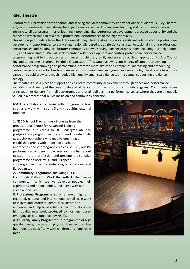### **Riley Theatre**

Central to our provision for the School and serving the local community and wider dance audience is Riley Theatre; a dynamic creative hub and atmospheric performance venue. This inspiring learning and performance space is intrinsic to all our programmes of learning – providing vital performance development practice opportunity and the chance to watch small to mid-scale professional performances of the highest quality.

Through project funding from the Arts Council, Riley Theatre already plays a significant role in offering professional development opportunities to early stage regionally based graduate dance artists, occasional visiting professional performances and hosting celebratory community shows, serving partner organisations including our neighbours, RJC, and Dance United . We will seek to embed artist development and visiting professional performance programming, and to introduce performances for children/family audiences through an application to Arts Council England to become a National Portfolio Organisation. This would allow us consistency of support to develop performance programming and partnerships, promote more artists and companies, increasing and broadening performance provision for Leeds audiences, whist growing new and young audiences. Riley Theatre is a beacon for dance and could grow as a much needed high quality small-scale dance touring venue, supporting the dance ecology.

The theatre is also a place to support and celebrate community achievement through dance and performance, Including the diversity of the community and of dance forms in which our community engages. Community shows bring together dancers from all backgrounds and of all abilities in a performance space where they are all equally valued in a process that builds inclusion and community cohesion.

NSCD is ambitious to consistently programme four strands of work, with strand 3 and 4 requiring external funding:

**1. NSCD School Programme -** Students from the prevocational Centre for Advanced Training programme, our Access to HE, undergraduate and postgraduate programmes present work created with guest choreographers who may be emerging or established artists with a range of aesthetic approaches and choreographic voices. VERVE, our PG performance company, showcases young artists about to step into the profession and presents a distinctive programme of work by UK and European choreographers, before embarking on a national and

European tour.

**2. Community Programme,** including NSCD Community Platforms**.** Work that reflects the diverse community in which we live, develops people, their aspirations and opportunities, and aligns with our vision and values.

**3. Professional Programme** a programme of highly regarded, national and international, small scale work to inspire and inform students, local artists and audiences and help build artist connections, alongside high quality new work produced by northern based emerging artists, supported by NSCCD.

**4. Children/Family Programme**– a programme of high quality dance, circus and physical theatre that has been created specifically with children and families in mind.

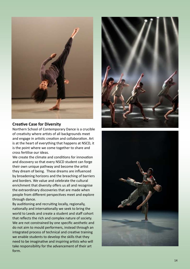

#### **Creative Case for Diversity**

Northern School of Contemporary Dance is a crucible of creativity where artists of all backgrounds meet and engage in artistic creation and collaboration. Art is at the heart of everything that happens at NSCD, it is the point where we come together to share and cross fertilise our ideas.

We create the climate and conditions for innovation and discovery so that every NSCD student can forge their own unique pathway and become the artist they dream of being. These dreams are influenced by broadening horizons and the breaching of barriers and borders. We value and celebrate the cultural enrichment that diversity offers us all and recognise the extraordinary discoveries that are made when people from different perspectives meet and explore through dance.

By auditioning and recruiting locally, regionally, nationally and internationally we seek to bring the world to Leeds and create a student and staff cohort that reflects the rich and complex nature of society. We are not constrained by one specific aesthetic and do not aim to mould performers, instead through an integrated process of technical and creative training we enable students to develop the skills that they need to be imaginative and inspiring artists who will take responsibility for the advancement of their art form.



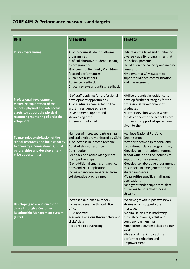## **CORE AIM 2: Performance measures and targets**

| <b>KPIs</b>                                                                                                                                                                                | <b>Measures</b>                                                                                                                                                                                                                                                                                                                               | <b>Targets</b>                                                                                                                                                                                                                                                                                                                                                                                                                                                          |
|--------------------------------------------------------------------------------------------------------------------------------------------------------------------------------------------|-----------------------------------------------------------------------------------------------------------------------------------------------------------------------------------------------------------------------------------------------------------------------------------------------------------------------------------------------|-------------------------------------------------------------------------------------------------------------------------------------------------------------------------------------------------------------------------------------------------------------------------------------------------------------------------------------------------------------------------------------------------------------------------------------------------------------------------|
| <b>Riley Programming</b>                                                                                                                                                                   | % of in-house student platforms<br>programmed<br>% of collaborative student exchang-<br>es programmed<br>% of community, family & children<br>focused performances<br><b>Audiences numbers</b><br>Audience feedback<br>Critical reviews and artists feedback                                                                                  | •Maintain the level and number of<br>diverse / quality programmes that<br>the school presents<br>•Build audience capacity and income<br>generation<br>.Implement a CRM system to<br>support audience communication<br>and management                                                                                                                                                                                                                                    |
| <b>Professional development</b><br>maximize exploitation of the<br>schools' physical and intellectual<br>assets to support the physical<br>resourcing mentoring of artist de-<br>velopment | % of staff applying for professional<br>development opportunities<br>% of graduates connected to the<br>artist in residence scheme<br>Development support and<br>showcasing data<br>Progression of artists                                                                                                                                    | •Utilise the artist in residence to<br>develop further strategies for the<br>professional development of<br>graduates<br>•Further develop ways in which<br>artists connect to the school's core<br>business in support of space being<br>given to them                                                                                                                                                                                                                  |
| To maximize exploitation of the<br>school resources and build capacity<br>to diversify income streams, build<br>partnerships and develop enter-<br>prise opportunities                     | Number of increased partnerships<br>and stakeholders monitored by CRM<br>% of increase in income revenue<br>Audit of shared resource<br>Contribution<br>Feedback and acknowledgement<br>from partnerships<br>% of additional small grant applica-<br>tions and NPO application<br>Increased income generated from<br>collaborative programmes | • Achieve National Portfolio<br>Organisation<br>• offer distinctive aspirational and<br>inspirational dance programming.<br>*Develop an international summer<br>school with 'bite sized' courses to<br>support income generation<br>•Develop collaborative programmes<br>to support income generation and<br>shared resources<br>•To prioritise specific small grant<br>applications<br>•Use grant finder support to alert<br>ourselves to potential funding<br>streams |
| Developing new audiences for<br>dance through a Customer<br><b>Relationship Management system</b><br>(CRM)                                                                                 | Increased audience numbers<br>Increased revenue through Box<br>office<br><b>CRM</b> analytics<br>Marketing analysis through 'hits and<br>clicks' data<br>Response to advertising                                                                                                                                                              | *Achieve growth in positive news<br>stories which support core<br>messages<br>•Capitalise on cross-marketing<br>through our venue, artist and<br>company partnerships<br>.Host other activities related to our<br>work<br>•Use social media to capture<br>performer reflection and<br>empowerment                                                                                                                                                                       |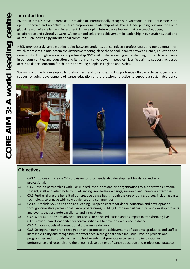### **Introduction**

Pivotal in NSCD's development as a provider of internationally recognised vocational dance education is an open, reflective and receptive culture empowering leadership at all levels. Underpinning our ambition as a global beacon of excellence is investment in developing future dance leaders that are creative, open, collaborative and culturally aware. We foster and celebrate achievement in leadership in our students, staff and alumni – an increasingly international community.

NSCD provides a dynamic meeting point between students, dance industry professionals and our communities, which represents in microcosm the distinctive meeting place the School inhabits between Dance, Education and Community. Through advocacy and partnership NSCD will foster widening understanding of the place of dance in our communities and education and its transformative power in peoples' lives. We aim to support increased access to dance education for children and young people in England and Wales.

We will continue to develop collaborative partnerships and exploit opportunities that enable us to grow and support ongoing development of dance education and professional practice to support a sustainable dance



## **Objectives**

- $\Rightarrow$  CA3.1 Explore and create CPD provision to foster leadership development for dance and arts professionals
- $\Rightarrow$  C3.2 Develop partnerships with like-minded institutions and arts organisations to support trans-national student, staff and artist mobility in advancing knowledge exchange, research and creative enterprise
- $\Rightarrow$  C3.3 Further share the benefit of our creative dance hub through the use of our resources, including digital technology, to engage with new audiences and communities
- $\Rightarrow$  CA3.4 Establish NSCD's position as a leading European centre for dance education and development through innovative professional dance programmes, building European partnerships, and develop projects and events that promote excellence and innovation.
- $\Rightarrow$  C3.5 Work as a Northern advocate for access to dance education and its impact in transforming lives
- $\Rightarrow$  C3.6 Provide shared leadership for formal initiatives to develop excellence in dance
- $\Rightarrow$  C3.7 Explore models of transnational programme delivery
- $\Rightarrow$  C3.8 Strengthen our brand recognition and promote the achievements of students, graduates and staff to increase visibility and recognition for excellence in the global dance industry. Develop projects and programmes and through partnership host events that promote excellence and innovation in performance and research and the ongoing development of dance education and professional practice.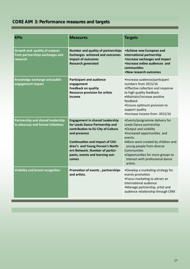## **CORE AIM 3: Performance measures and targets**

| <b>KPIs</b>                                                                    | <b>Measures</b>                                                                                                                                                                                                                                                                               | <b>Targets</b>                                                                                                                                                                                                                                                                                         |
|--------------------------------------------------------------------------------|-----------------------------------------------------------------------------------------------------------------------------------------------------------------------------------------------------------------------------------------------------------------------------------------------|--------------------------------------------------------------------------------------------------------------------------------------------------------------------------------------------------------------------------------------------------------------------------------------------------------|
| Growth and quality of outputs<br>from partnerships exchanges and<br>research   | <b>Number and quality of partnerships</b><br><b>Exchanges achieved and outcomes</b><br><b>Impact of outcomes</b><br><b>Research generated</b>                                                                                                                                                 | • Achieve new European and<br>international partnership<br>• Increase exchanges and impact<br>. Increase online audiences and<br>communities<br>• New research outcomes                                                                                                                                |
| Knowledge exchange and public<br>engagement impact                             | <b>Participant and audience</b><br>engagement<br><b>Feedback on quality</b><br><b>Resource provision for artists</b><br><b>Income</b>                                                                                                                                                         | ·Increase audience/participant<br>numbers from 2015/16<br>• Effective collection and response<br>to high quality feedback.<br>•Maintain/increase positive<br>feedback<br>• Ensure optimum provision to<br>support quality<br>·Increase income from 2015/16                                             |
| <b>Partnership and shared leadership</b><br>in advocacy and formal initiatives | <b>Engagement in shared Leadership</b><br>for Leeds Dance Partnership and<br>contribution to EU City of Culture<br>and presence<br><b>Continuation and impact of Chil-</b><br>dren's and Young Person's North-<br>ern Network. Number of partici-<br>pants, events and learning out-<br>comes | •Events/programme delivery for<br>Leeds Dance partnership<br>•Output and visibility<br>·Increased opportunities and<br>events.<br>•More work created by children and<br>young people from diverse<br>Communities<br>. Opportunities for more groups to<br>Interact with professional dance<br>artists. |
| <b>Visibility and brand recognition</b>                                        | Promotion of events, partnerships<br>and artists.                                                                                                                                                                                                                                             | •Develop a marketing strategy for<br>events promotion<br>•Focus marketing to attract an<br>international audience<br>•Manage partnership, artist and<br>audience relationship through CRM                                                                                                              |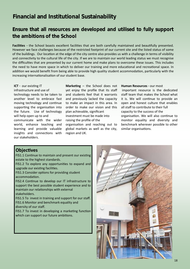## **Financial and Institutional Sustainability**

## **Ensure that all resources are developed and utilised to fully support the ambitions of the School**

**Facilities** - the School boasts excellent facilities that are both carefully maintained and beautifully presented. However we face challenges because of the restricted footprint of our current site and the listed status of some of the buildings. Our location at the edge of the city centre also provides us with a challenge in terms of visibility and connectivity to the cultural life of the city. If we are to maintain our world leading status we must recognise the difficulties that are presented by our current home and make plans to overcome these issues. This includes the need to have more space in which to deliver our training and more educational and recreational space. In addition we would benefit from being able to provide high quality student accommodation, particularly with the increasing internationalisation of our student base.

#### **ICT** - our existing IT

infrastructure and use of technology needs to be taken to another level to embrace fast moving technology and continue supporting the organisation into the future. Use of technology will help open up to and communicate with the wider world, enhance teaching and learning and provide valuable insights and connections with our stakeholders.

**Marketing** – the School does not yet enjoy the profile that its staff and students feel that it warrants and previously lacked the capacity to make an impact in this area. In order to make our vision and this plan achievable, significant investment must be made into raising the profile of the organisation and reaching out to global markets as well as the city, region and UK.

**Human Resources** - our most

important resource is the dedicated staff team that makes the School what it is. We will continue to provide an open and honest culture that enables all staff to contribute to their full capacity to the success of the organisation. We will also continue to monitor equality and diversity and benchmark wherever possible to other similar organisations.

#### **Objectives**

FIS1.1 Continue to maintain and present our existing estate to the highest standards.

FIS1.2 To explore any opportunities to expand and upgrade our existing facilities.

FIS1.3 Consider options for providing student accommodation.

FIS2.4 Continue to develop our IT infrastructure to support the best possible student experience and to maintain our relationships with external stakeholders.

FIS1.5 To invest in training and support for our staff. FIS1.6 Monitor and benchmark equality and diversity of our staff.

FIS1.7 To invest in developing a marketing function which can support our future ambitions.

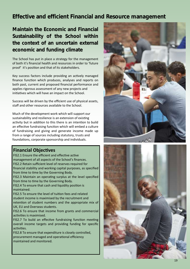## **Effective and efficient Financial and Resource management**

**Maintain the Economic and Financial Sustainability of the School within the context of an uncertain external economic and funding climate**

The School has put in place a strategy for the management of both it's financial health and resources in order to 'future proof' it's position and that of its stakeholders.

Key success factors include providing an actively managed finance function which produces, analyses and reports on both past, current and proposed financial performance and applies rigorous assessment of any new projects and initiatives which will have an impact on the School.

Success will be driven by the efficient use of physical assets, staff and other resources available to the School.

Much of the development work which will support our sustainability and resilience is an extension of existing activity but in addition to this there is an intention to build an effective fundraising function which will embed a culture of fundraising and giving and generate income made up from a range of sources including statutory, trusts and foundations, corporate sponsorship and individuals.

#### **Financial Objectives**

FIS2.1 Ensure the efficient and effective active management of all aspects of the School's finances. FIS2.2 Retain sufficient level of reserves required for financial stability and working capital purposes, as specified from time to time by the Governing Body.

FIS2.3 Maintain an operating surplus at the level specified from time to time by the Governing Body.

FIS2.4 To ensure that cash and liquidity position is maintained.

FIS2.5 To ensure the level of tuition fees and related student income is maximised by the recruitment and retention of student numbers and the appropriate mix of UK, EU and Overseas students.

FIS2.6 To ensure that income from grants and commercial activities is maximised.

FIS2.7 To build an effective fundraising function meeting overall income targets and providing funding for specific activities.

FIS2.8 To ensure that expenditure is closely controlled, procurement managed and operational efficiency maintained and monitored.



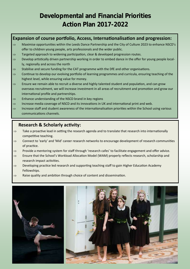## **Developmental and Financial Priorities Action Plan 2017-2022**

## **Expansion of course portfolio, Access, Internationalisation and progression:**

- $\Rightarrow$  Maximise opportunities within the Leeds Dance Partnership and the City of Culture 2023 to enhance NSCD's offer to children young people, arts professionals and the wider public.
- $\Rightarrow$  Targeted approach to widening participation, clear & developed progression routes.
- $\Rightarrow$  Develop artistically driven partnership working in order to embed dance in the offer for young people locally, regionally and across the north
- $\Rightarrow$  Stabilise and secure funding for the CAT programme with the DfE and other organisations.
- $\Rightarrow$  Continue to develop our evolving portfolio of learning programmes and curricula, ensuring teaching of the highest level, while ensuring value for money.
- $\Rightarrow$  Ensure we remain able to recruit a diverse and highly talented student and population, and can grow overseas recruitment, we will increase investment in all areas of recruitment and promotion and grow our international profile and partnerships.
- $\Rightarrow$  Enhance understanding of the NSCD brand in key regions
- $\Rightarrow$  Increase media coverage of NSCD and its innovations in UK and international print and web.
- $\Rightarrow$  Increase staff and student awareness of the internationalisation priorities within the School using various communications channels.

## **Research & Scholarly activity:**

- $\Rightarrow$  Take a proactive lead in setting the research agenda and to translate that research into internationally competitive teaching.
- $\Rightarrow$  Connect to 'early' and 'Mid' career research networks to encourage development of research communities of practice.
- $\Rightarrow$  Provide a mentoring system for staff through 'research cafes' to facilitate engagement and offer advice.
- $\Rightarrow$  Ensure that the School's Workload Allocation Model (WAM) properly reflects research, scholarship and research impact activities.
- $\Rightarrow$  Developing practice led research and supporting teaching staff to gain Higher Education Academy Fellowships.
- $\Rightarrow$  Raise quality and ambition through choice of content and dissemination.